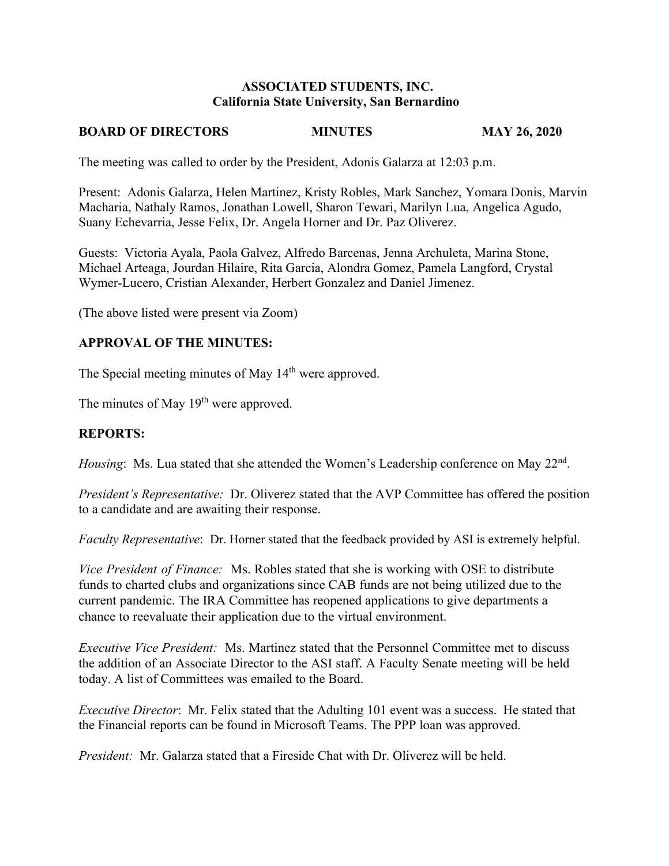#### **ASSOCIATED STUDENTS, INC. California State University, San Bernardino**

## **BOARD OF DIRECTORS MINUTES MAY 26, 2020**

The meeting was called to order by the President, Adonis Galarza at 12:03 p.m.

Present: Adonis Galarza, Helen Martinez, Kristy Robles, Mark Sanchez, Yomara Donis, Marvin Macharia, Nathaly Ramos, Jonathan Lowell, Sharon Tewari, Marilyn Lua, Angelica Agudo, Suany Echevarria, Jesse Felix, Dr. Angela Horner and Dr. Paz Oliverez.

Guests: Victoria Ayala, Paola Galvez, Alfredo Barcenas, Jenna Archuleta, Marina Stone, Michael Arteaga, Jourdan Hilaire, Rita Garcia, Alondra Gomez, Pamela Langford, Crystal Wymer-Lucero, Cristian Alexander, Herbert Gonzalez and Daniel Jimenez.

(The above listed were present via Zoom)

#### **APPROVAL OF THE MINUTES:**

The Special meeting minutes of May 14<sup>th</sup> were approved.

The minutes of May  $19<sup>th</sup>$  were approved.

## **REPORTS:**

*Housing*: Ms. Lua stated that she attended the Women's Leadership conference on May 22<sup>nd</sup>.

*President's Representative:* Dr. Oliverez stated that the AVP Committee has offered the position to a candidate and are awaiting their response.

*Faculty Representative*: Dr. Horner stated that the feedback provided by ASI is extremely helpful.

*Vice President of Finance:* Ms. Robles stated that she is working with OSE to distribute funds to charted clubs and organizations since CAB funds are not being utilized due to the current pandemic. The IRA Committee has reopened applications to give departments a chance to reevaluate their application due to the virtual environment.

*Executive Vice President:* Ms. Martinez stated that the Personnel Committee met to discuss the addition of an Associate Director to the ASI staff. A Faculty Senate meeting will be held today. A list of Committees was emailed to the Board.

*Executive Director*: Mr. Felix stated that the Adulting 101 event was a success. He stated that the Financial reports can be found in Microsoft Teams. The PPP loan was approved.

*President:* Mr. Galarza stated that a Fireside Chat with Dr. Oliverez will be held.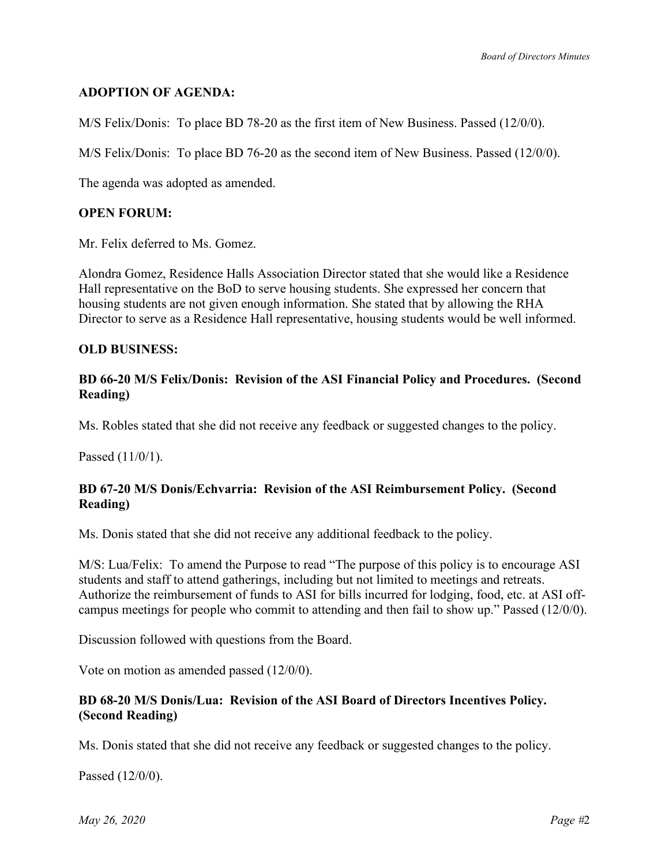## **ADOPTION OF AGENDA:**

M/S Felix/Donis: To place BD 78-20 as the first item of New Business. Passed (12/0/0).

M/S Felix/Donis: To place BD 76-20 as the second item of New Business. Passed (12/0/0).

The agenda was adopted as amended.

#### **OPEN FORUM:**

Mr. Felix deferred to Ms. Gomez.

Alondra Gomez, Residence Halls Association Director stated that she would like a Residence Hall representative on the BoD to serve housing students. She expressed her concern that housing students are not given enough information. She stated that by allowing the RHA Director to serve as a Residence Hall representative, housing students would be well informed.

#### **OLD BUSINESS:**

#### **BD 66-20 M/S Felix/Donis: Revision of the ASI Financial Policy and Procedures. (Second Reading)**

Ms. Robles stated that she did not receive any feedback or suggested changes to the policy.

Passed (11/0/1).

#### **BD 67-20 M/S Donis/Echvarria: Revision of the ASI Reimbursement Policy. (Second Reading)**

Ms. Donis stated that she did not receive any additional feedback to the policy.

M/S: Lua/Felix: To amend the Purpose to read "The purpose of this policy is to encourage ASI students and staff to attend gatherings, including but not limited to meetings and retreats. Authorize the reimbursement of funds to ASI for bills incurred for lodging, food, etc. at ASI offcampus meetings for people who commit to attending and then fail to show up." Passed (12/0/0).

Discussion followed with questions from the Board.

Vote on motion as amended passed (12/0/0).

### **BD 68-20 M/S Donis/Lua: Revision of the ASI Board of Directors Incentives Policy. (Second Reading)**

Ms. Donis stated that she did not receive any feedback or suggested changes to the policy.

Passed (12/0/0).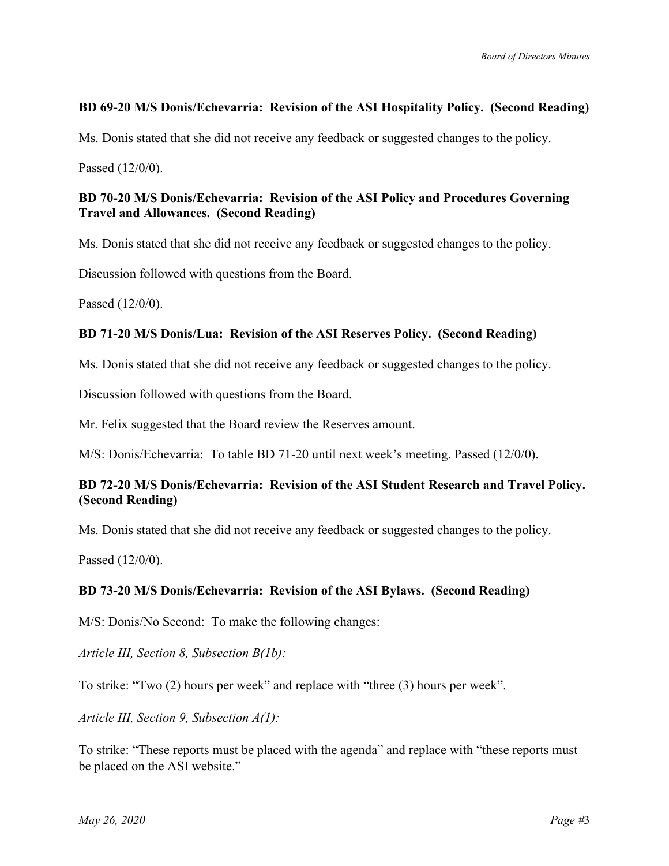## **BD 69-20 M/S Donis/Echevarria: Revision of the ASI Hospitality Policy. (Second Reading)**

Ms. Donis stated that she did not receive any feedback or suggested changes to the policy.

Passed (12/0/0).

### **BD 70-20 M/S Donis/Echevarria: Revision of the ASI Policy and Procedures Governing Travel and Allowances. (Second Reading)**

Ms. Donis stated that she did not receive any feedback or suggested changes to the policy.

Discussion followed with questions from the Board.

Passed (12/0/0).

### **BD 71-20 M/S Donis/Lua: Revision of the ASI Reserves Policy. (Second Reading)**

Ms. Donis stated that she did not receive any feedback or suggested changes to the policy.

Discussion followed with questions from the Board.

Mr. Felix suggested that the Board review the Reserves amount.

M/S: Donis/Echevarria: To table BD 71-20 until next week's meeting. Passed (12/0/0).

## **BD 72-20 M/S Donis/Echevarria: Revision of the ASI Student Research and Travel Policy. (Second Reading)**

Ms. Donis stated that she did not receive any feedback or suggested changes to the policy.

Passed (12/0/0).

#### **BD 73-20 M/S Donis/Echevarria: Revision of the ASI Bylaws. (Second Reading)**

M/S: Donis/No Second: To make the following changes:

*Article III, Section 8, Subsection B(1b):*

To strike: "Two (2) hours per week" and replace with "three (3) hours per week".

*Article III, Section 9, Subsection A(1):*

To strike: "These reports must be placed with the agenda" and replace with "these reports must be placed on the ASI website."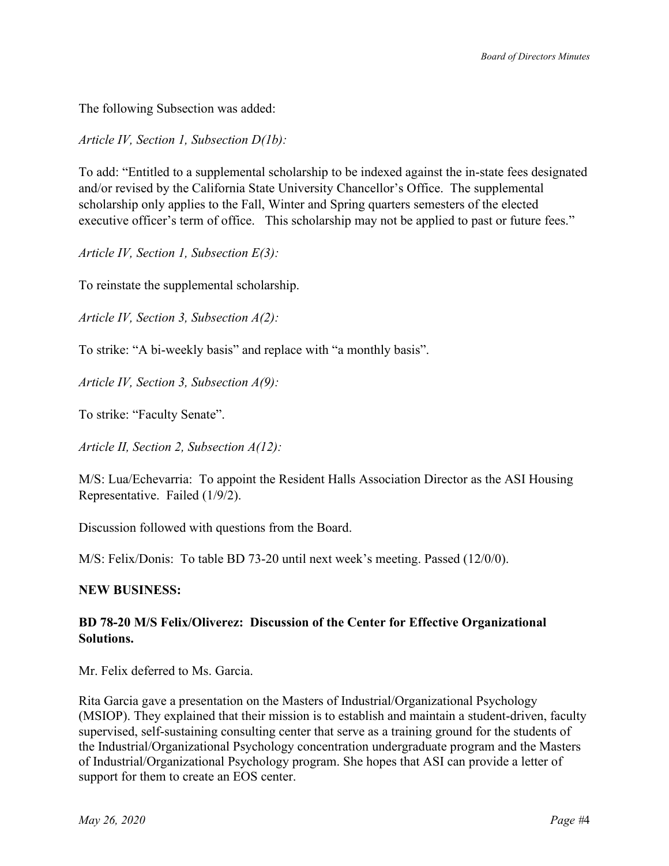The following Subsection was added:

*Article IV, Section 1, Subsection D(1b):*

To add: "Entitled to a supplemental scholarship to be indexed against the in-state fees designated and/or revised by the California State University Chancellor's Office. The supplemental scholarship only applies to the Fall, Winter and Spring quarters semesters of the elected executive officer's term of office. This scholarship may not be applied to past or future fees."

*Article IV, Section 1, Subsection E(3):*

To reinstate the supplemental scholarship.

*Article IV, Section 3, Subsection A(2):*

To strike: "A bi-weekly basis" and replace with "a monthly basis".

*Article IV, Section 3, Subsection A(9):*

To strike: "Faculty Senate".

*Article II, Section 2, Subsection A(12):*

M/S: Lua/Echevarria: To appoint the Resident Halls Association Director as the ASI Housing Representative. Failed (1/9/2).

Discussion followed with questions from the Board.

M/S: Felix/Donis: To table BD 73-20 until next week's meeting. Passed (12/0/0).

#### **NEW BUSINESS:**

## **BD 78-20 M/S Felix/Oliverez: Discussion of the Center for Effective Organizational Solutions.**

Mr. Felix deferred to Ms. Garcia.

Rita Garcia gave a presentation on the Masters of Industrial/Organizational Psychology (MSIOP). They explained that their mission is to establish and maintain a student-driven, faculty supervised, self-sustaining consulting center that serve as a training ground for the students of the Industrial/Organizational Psychology concentration undergraduate program and the Masters of Industrial/Organizational Psychology program. She hopes that ASI can provide a letter of support for them to create an EOS center.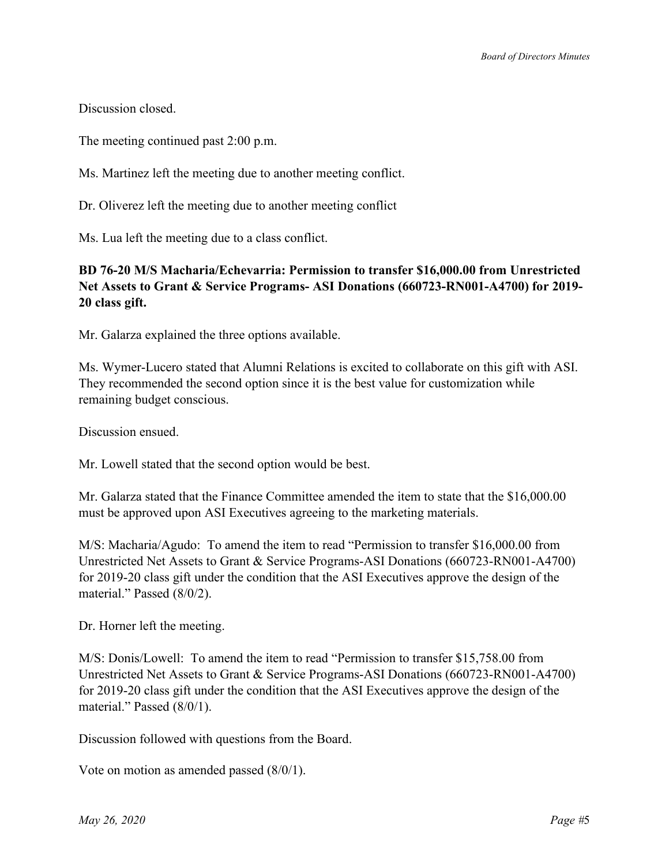Discussion closed.

The meeting continued past 2:00 p.m.

Ms. Martinez left the meeting due to another meeting conflict.

Dr. Oliverez left the meeting due to another meeting conflict

Ms. Lua left the meeting due to a class conflict.

## **BD 76-20 M/S Macharia/Echevarria: Permission to transfer \$16,000.00 from Unrestricted Net Assets to Grant & Service Programs- ASI Donations (660723-RN001-A4700) for 2019- 20 class gift.**

Mr. Galarza explained the three options available.

Ms. Wymer-Lucero stated that Alumni Relations is excited to collaborate on this gift with ASI. They recommended the second option since it is the best value for customization while remaining budget conscious.

Discussion ensued.

Mr. Lowell stated that the second option would be best.

Mr. Galarza stated that the Finance Committee amended the item to state that the \$16,000.00 must be approved upon ASI Executives agreeing to the marketing materials.

M/S: Macharia/Agudo: To amend the item to read "Permission to transfer \$16,000.00 from Unrestricted Net Assets to Grant & Service Programs-ASI Donations (660723-RN001-A4700) for 2019-20 class gift under the condition that the ASI Executives approve the design of the material." Passed (8/0/2).

Dr. Horner left the meeting.

M/S: Donis/Lowell: To amend the item to read "Permission to transfer \$15,758.00 from Unrestricted Net Assets to Grant & Service Programs-ASI Donations (660723-RN001-A4700) for 2019-20 class gift under the condition that the ASI Executives approve the design of the material." Passed (8/0/1).

Discussion followed with questions from the Board.

Vote on motion as amended passed (8/0/1).